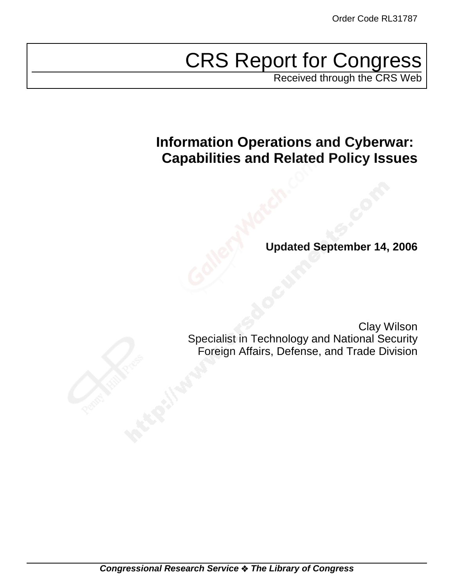# CRS Report for Congress

Received through the CRS Web

# **Information Operations and Cyberwar: Capabilities and Related Policy Issues**

**Updated September 14, 2006**

Clay Wilson Specialist in Technology and National Security Foreign Affairs, Defense, and Trade Division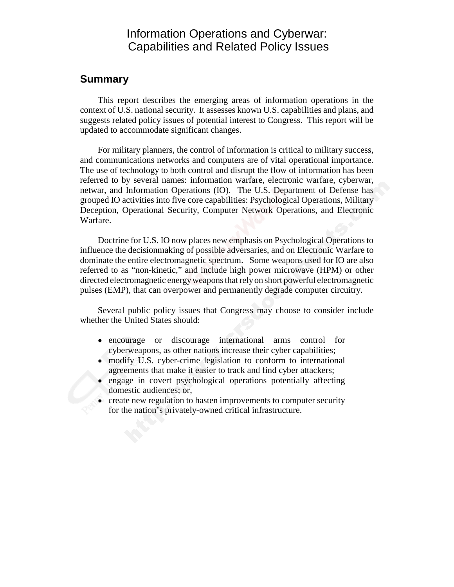## Information Operations and Cyberwar: Capabilities and Related Policy Issues

#### **Summary**

This report describes the emerging areas of information operations in the context of U.S. national security. It assesses known U.S. capabilities and plans, and suggests related policy issues of potential interest to Congress. This report will be updated to accommodate significant changes.

For military planners, the control of information is critical to military success, and communications networks and computers are of vital operational importance. The use of technology to both control and disrupt the flow of information has been referred to by several names: information warfare, electronic warfare, cyberwar, netwar, and Information Operations (IO). The U.S. Department of Defense has grouped IO activities into five core capabilities: Psychological Operations, Military Deception, Operational Security, Computer Network Operations, and Electronic Warfare.

Doctrine for U.S. IO now places new emphasis on Psychological Operations to influence the decisionmaking of possible adversaries, and on Electronic Warfare to dominate the entire electromagnetic spectrum. Some weapons used for IO are also referred to as "non-kinetic," and include high power microwave (HPM) or other directed electromagnetic energy weapons that rely on short powerful electromagnetic pulses (EMP), that can overpower and permanently degrade computer circuitry.

Several public policy issues that Congress may choose to consider include whether the United States should:

- ! encourage or discourage international arms control for cyberweapons, as other nations increase their cyber capabilities;
- modify U.S. cyber-crime legislation to conform to international agreements that make it easier to track and find cyber attackers;
- engage in covert psychological operations potentially affecting domestic audiences; or,
- create new regulation to hasten improvements to computer security for the nation's privately-owned critical infrastructure.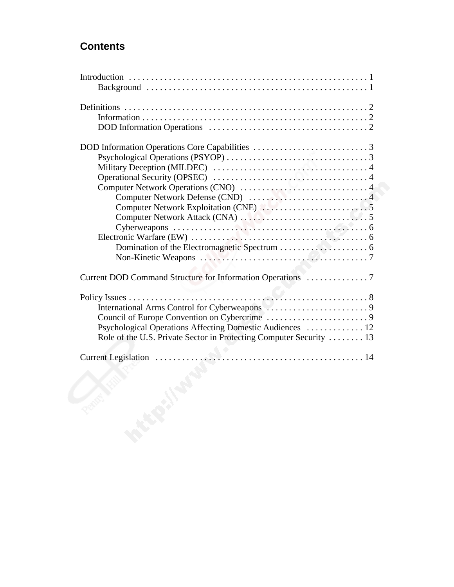## **Contents**

|    | Psychological Operations Affecting Domestic Audiences  12           |
|----|---------------------------------------------------------------------|
|    | Role of the U.S. Private Sector in Protecting Computer Security  13 |
|    |                                                                     |
|    |                                                                     |
|    |                                                                     |
|    |                                                                     |
|    |                                                                     |
|    |                                                                     |
|    |                                                                     |
| Q. |                                                                     |
|    |                                                                     |
|    |                                                                     |
|    | PECRY.                                                              |
|    |                                                                     |
|    |                                                                     |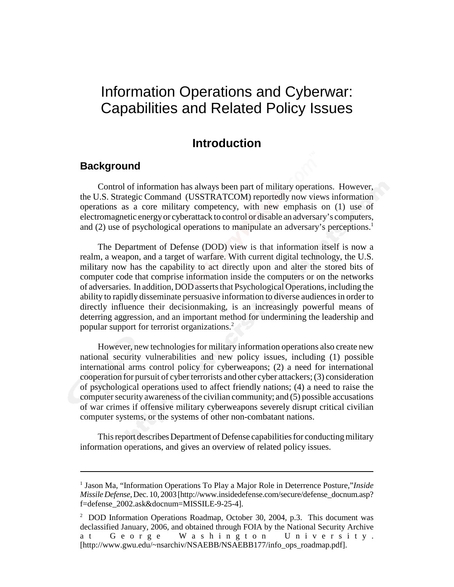# Information Operations and Cyberwar: Capabilities and Related Policy Issues

#### **Introduction**

#### **Background**

Control of information has always been part of military operations. However, the U.S. Strategic Command (USSTRATCOM) reportedly now views information operations as a core military competency, with new emphasis on (1) use of electromagnetic energy or cyberattack to control or disable an adversary's computers, and (2) use of psychological operations to manipulate an adversary's perceptions.<sup>1</sup>

The Department of Defense (DOD) view is that information itself is now a realm, a weapon, and a target of warfare. With current digital technology, the U.S. military now has the capability to act directly upon and alter the stored bits of computer code that comprise information inside the computers or on the networks of adversaries. In addition, DOD asserts that Psychological Operations, including the ability to rapidly disseminate persuasive information to diverse audiences in order to directly influence their decisionmaking, is an increasingly powerful means of deterring aggression, and an important method for undermining the leadership and popular support for terrorist organizations.<sup>2</sup>

However, new technologies for military information operations also create new national security vulnerabilities and new policy issues, including (1) possible international arms control policy for cyberweapons; (2) a need for international cooperation for pursuit of cyber terrorists and other cyber attackers; (3) consideration of psychological operations used to affect friendly nations; (4) a need to raise the computer security awareness of the civilian community; and (5) possible accusations of war crimes if offensive military cyberweapons severely disrupt critical civilian computer systems, or the systems of other non-combatant nations.

This report describes Department of Defense capabilities for conducting military information operations, and gives an overview of related policy issues.

<sup>&</sup>lt;sup>1</sup> Jason Ma, "Information Operations To Play a Major Role in Deterrence Posture,"*Inside Missile Defense*, Dec. 10, 2003 [http://www.insidedefense.com/secure/defense\_docnum.asp? f=defense\_2002.ask&docnum=MISSILE-9-25-4].

<sup>&</sup>lt;sup>2</sup> DOD Information Operations Roadmap, October 30, 2004, p.3. This document was declassified January, 2006, and obtained through FOIA by the National Security Archive at George Washington University. [http://www.gwu.edu/~nsarchiv/NSAEBB/NSAEBB177/info\_ops\_roadmap.pdf].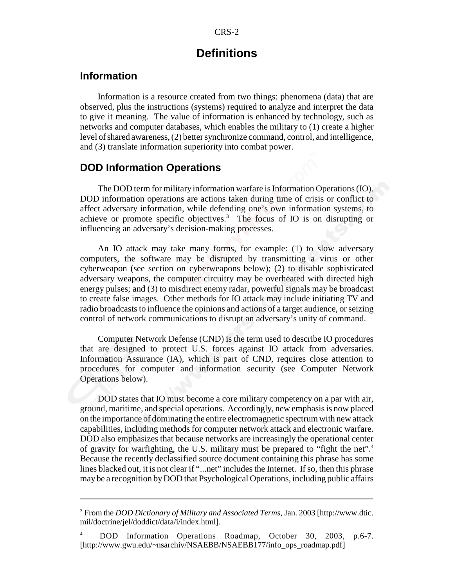#### **Definitions**

#### **Information**

Information is a resource created from two things: phenomena (data) that are observed, plus the instructions (systems) required to analyze and interpret the data to give it meaning. The value of information is enhanced by technology, such as networks and computer databases, which enables the military to (1) create a higher level of shared awareness, (2) better synchronize command, control, and intelligence, and (3) translate information superiority into combat power.

#### **DOD Information Operations**

The DOD term for military information warfare is Information Operations (IO). DOD information operations are actions taken during time of crisis or conflict to affect adversary information, while defending one's own information systems, to achieve or promote specific objectives. $3$  The focus of IO is on disrupting or influencing an adversary's decision-making processes.

An IO attack may take many forms, for example: (1) to slow adversary computers, the software may be disrupted by transmitting a virus or other cyberweapon (see section on cyberweapons below); (2) to disable sophisticated adversary weapons, the computer circuitry may be overheated with directed high energy pulses; and (3) to misdirect enemy radar, powerful signals may be broadcast to create false images. Other methods for IO attack may include initiating TV and radio broadcasts to influence the opinions and actions of a target audience, or seizing control of network communications to disrupt an adversary's unity of command.

Computer Network Defense (CND) is the term used to describe IO procedures that are designed to protect U.S. forces against IO attack from adversaries. Information Assurance (IA), which is part of CND, requires close attention to procedures for computer and information security (see Computer Network Operations below).

DOD states that IO must become a core military competency on a par with air, ground, maritime, and special operations. Accordingly, new emphasis is now placed on the importance of dominating the entire electromagnetic spectrum with new attack capabilities, including methods for computer network attack and electronic warfare. DOD also emphasizes that because networks are increasingly the operational center of gravity for warfighting, the U.S. military must be prepared to "fight the net".4 Because the recently declassified source document containing this phrase has some lines blacked out, it is not clear if "...net" includes the Internet. If so, then this phrase may be a recognition by DOD that Psychological Operations, including public affairs

<sup>3</sup> From the *DOD Dictionary of Military and Associated Terms*, Jan. 2003 [http://www.dtic. mil/doctrine/jel/doddict/data/i/index.html].

<sup>4</sup> DOD Information Operations Roadmap, October 30, 2003, p.6-7. [http://www.gwu.edu/~nsarchiv/NSAEBB/NSAEBB177/info\_ops\_roadmap.pdf]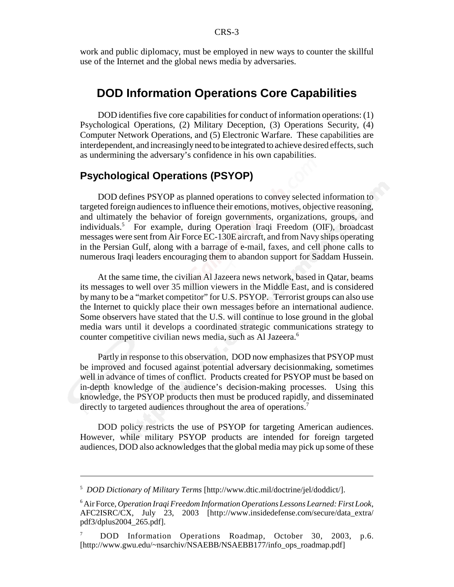work and public diplomacy, must be employed in new ways to counter the skillful use of the Internet and the global news media by adversaries.

#### **DOD Information Operations Core Capabilities**

DOD identifies five core capabilities for conduct of information operations: (1) Psychological Operations, (2) Military Deception, (3) Operations Security, (4) Computer Network Operations, and (5) Electronic Warfare. These capabilities are interdependent, and increasingly need to be integrated to achieve desired effects, such as undermining the adversary's confidence in his own capabilities.

#### **Psychological Operations (PSYOP)**

DOD defines PSYOP as planned operations to convey selected information to targeted foreign audiences to influence their emotions, motives, objective reasoning, and ultimately the behavior of foreign governments, organizations, groups, and individuals.<sup>5</sup> For example, during Operation Iraqi Freedom (OIF), broadcast messages were sent from Air Force EC-130E aircraft, and from Navy ships operating in the Persian Gulf, along with a barrage of e-mail, faxes, and cell phone calls to numerous Iraqi leaders encouraging them to abandon support for Saddam Hussein.

At the same time, the civilian Al Jazeera news network, based in Qatar, beams its messages to well over 35 million viewers in the Middle East, and is considered by many to be a "market competitor" for U.S. PSYOP. Terrorist groups can also use the Internet to quickly place their own messages before an international audience. Some observers have stated that the U.S. will continue to lose ground in the global media wars until it develops a coordinated strategic communications strategy to counter competitive civilian news media, such as Al Jazeera.<sup>6</sup>

Partly in response to this observation, DOD now emphasizes that PSYOP must be improved and focused against potential adversary decisionmaking, sometimes well in advance of times of conflict. Products created for PSYOP must be based on in-depth knowledge of the audience's decision-making processes. Using this knowledge, the PSYOP products then must be produced rapidly, and disseminated directly to targeted audiences throughout the area of operations.<sup>7</sup>

DOD policy restricts the use of PSYOP for targeting American audiences. However, while military PSYOP products are intended for foreign targeted audiences, DOD also acknowledges that the global media may pick up some of these

<sup>5</sup> *DOD Dictionary of Military Terms* [http://www.dtic.mil/doctrine/jel/doddict/].

<sup>6</sup> Air Force, *Operation Iraqi Freedom Information Operations Lessons Learned: First Look*, AFC2ISRC/CX, July 23, 2003 [http://www.insidedefense.com/secure/data\_extra/ pdf3/dplus2004\_265.pdf].

<sup>7</sup> DOD Information Operations Roadmap, October 30, 2003, p.6. [http://www.gwu.edu/~nsarchiv/NSAEBB/NSAEBB177/info\_ops\_roadmap.pdf]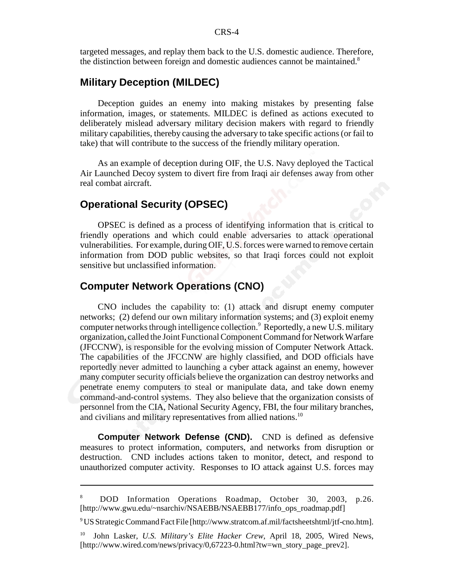targeted messages, and replay them back to the U.S. domestic audience. Therefore, the distinction between foreign and domestic audiences cannot be maintained.<sup>8</sup>

#### **Military Deception (MILDEC)**

Deception guides an enemy into making mistakes by presenting false information, images, or statements. MILDEC is defined as actions executed to deliberately mislead adversary military decision makers with regard to friendly military capabilities, thereby causing the adversary to take specific actions (or fail to take) that will contribute to the success of the friendly military operation.

As an example of deception during OIF, the U.S. Navy deployed the Tactical Air Launched Decoy system to divert fire from Iraqi air defenses away from other real combat aircraft.

#### **Operational Security (OPSEC)**

OPSEC is defined as a process of identifying information that is critical to friendly operations and which could enable adversaries to attack operational vulnerabilities. For example, during OIF, U.S. forces were warned to remove certain information from DOD public websites, so that Iraqi forces could not exploit sensitive but unclassified information.

#### **Computer Network Operations (CNO)**

CNO includes the capability to: (1) attack and disrupt enemy computer networks; (2) defend our own military information systems; and (3) exploit enemy computer networks through intelligence collection.<sup>9</sup> Reportedly, a new U.S. military organization, called the Joint Functional Component Command for Network Warfare (JFCCNW), is responsible for the evolving mission of Computer Network Attack. The capabilities of the JFCCNW are highly classified, and DOD officials have reportedly never admitted to launching a cyber attack against an enemy, however many computer security officials believe the organization can destroy networks and penetrate enemy computers to steal or manipulate data, and take down enemy command-and-control systems. They also believe that the organization consists of personnel from the CIA, National Security Agency, FBI, the four military branches, and civilians and military representatives from allied nations.<sup>10</sup>

**Computer Network Defense (CND).** CND is defined as defensive measures to protect information, computers, and networks from disruption or destruction. CND includes actions taken to monitor, detect, and respond to unauthorized computer activity. Responses to IO attack against U.S. forces may

9 US Strategic Command Fact File [http://www.stratcom.af.mil/factsheetshtml/jtf-cno.htm].

<sup>8</sup> DOD Information Operations Roadmap, October 30, 2003, p.26. [http://www.gwu.edu/~nsarchiv/NSAEBB/NSAEBB177/info\_ops\_roadmap.pdf]

<sup>10</sup> John Lasker, *U.S. Military's Elite Hacker Crew*, April 18, 2005, Wired News, [http://www.wired.com/news/privacy/0,67223-0.html?tw=wn\_story\_page\_prev2].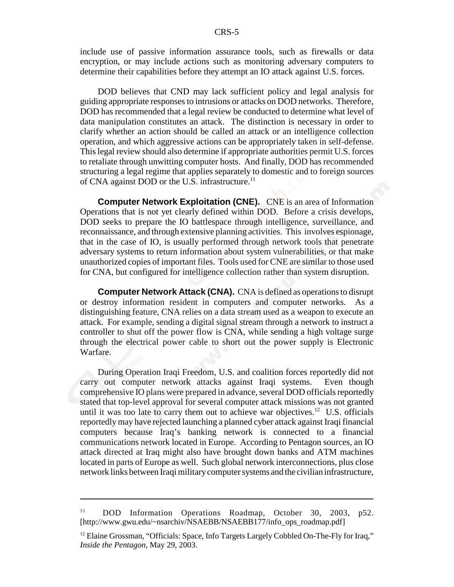include use of passive information assurance tools, such as firewalls or data encryption, or may include actions such as monitoring adversary computers to determine their capabilities before they attempt an IO attack against U.S. forces.

DOD believes that CND may lack sufficient policy and legal analysis for guiding appropriate responses to intrusions or attacks on DOD networks. Therefore, DOD has recommended that a legal review be conducted to determine what level of data manipulation constitutes an attack. The distinction is necessary in order to clarify whether an action should be called an attack or an intelligence collection operation, and which aggressive actions can be appropriately taken in self-defense. This legal review should also determine if appropriate authorities permit U.S. forces to retaliate through unwitting computer hosts. And finally, DOD has recommended structuring a legal regime that applies separately to domestic and to foreign sources of CNA against DOD or the U.S. infrastructure.<sup>11</sup>

**Computer Network Exploitation (CNE).** CNE is an area of Information Operations that is not yet clearly defined within DOD. Before a crisis develops, DOD seeks to prepare the IO battlespace through intelligence, surveillance, and reconnaissance, and through extensive planning activities. This involves espionage, that in the case of IO, is usually performed through network tools that penetrate adversary systems to return information about system vulnerabilities, or that make unauthorized copies of important files. Tools used for CNE are similar to those used for CNA, but configured for intelligence collection rather than system disruption.

**Computer Network Attack (CNA).** CNA is defined as operations to disrupt or destroy information resident in computers and computer networks. As a distinguishing feature, CNA relies on a data stream used as a weapon to execute an attack. For example, sending a digital signal stream through a network to instruct a controller to shut off the power flow is CNA, while sending a high voltage surge through the electrical power cable to short out the power supply is Electronic Warfare.

During Operation Iraqi Freedom, U.S. and coalition forces reportedly did not carry out computer network attacks against Iraqi systems. Even though comprehensive IO plans were prepared in advance, several DOD officials reportedly stated that top-level approval for several computer attack missions was not granted until it was too late to carry them out to achieve war objectives.<sup>12</sup> U.S. officials reportedly may have rejected launching a planned cyber attack against Iraqi financial computers because Iraq's banking network is connected to a financial communications network located in Europe. According to Pentagon sources, an IO attack directed at Iraq might also have brought down banks and ATM machines located in parts of Europe as well. Such global network interconnections, plus close network links between Iraqi military computer systems and the civilian infrastructure,

<sup>&</sup>lt;sup>11</sup> DOD Information Operations Roadmap, October 30, 2003, p52. [http://www.gwu.edu/~nsarchiv/NSAEBB/NSAEBB177/info\_ops\_roadmap.pdf]

<sup>&</sup>lt;sup>12</sup> Elaine Grossman, "Officials: Space, Info Targets Largely Cobbled On-The-Fly for Iraq," *Inside the Pentagon*, May 29, 2003.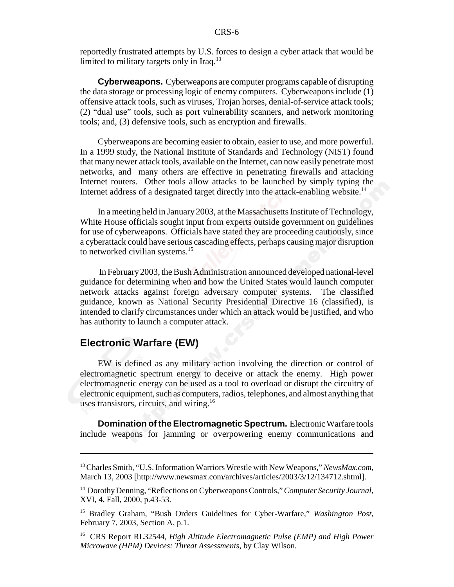reportedly frustrated attempts by U.S. forces to design a cyber attack that would be limited to military targets only in Iraq.<sup>13</sup>

**Cyberweapons.** Cyberweapons are computer programs capable of disrupting the data storage or processing logic of enemy computers. Cyberweapons include (1) offensive attack tools, such as viruses, Trojan horses, denial-of-service attack tools; (2) "dual use" tools, such as port vulnerability scanners, and network monitoring tools; and, (3) defensive tools, such as encryption and firewalls.

Cyberweapons are becoming easier to obtain, easier to use, and more powerful. In a 1999 study, the National Institute of Standards and Technology (NIST) found that many newer attack tools, available on the Internet, can now easily penetrate most networks, and many others are effective in penetrating firewalls and attacking Internet routers. Other tools allow attacks to be launched by simply typing the Internet address of a designated target directly into the attack-enabling website.<sup>14</sup>

In a meeting held in January 2003, at the Massachusetts Institute of Technology, White House officials sought input from experts outside government on guidelines for use of cyberweapons. Officials have stated they are proceeding cautiously, since a cyberattack could have serious cascading effects, perhaps causing major disruption to networked civilian systems.<sup>15</sup>

 In February 2003, the Bush Administration announced developed national-level guidance for determining when and how the United States would launch computer network attacks against foreign adversary computer systems. The classified guidance, known as National Security Presidential Directive 16 (classified), is intended to clarify circumstances under which an attack would be justified, and who has authority to launch a computer attack.

#### **Electronic Warfare (EW)**

EW is defined as any military action involving the direction or control of electromagnetic spectrum energy to deceive or attack the enemy. High power electromagnetic energy can be used as a tool to overload or disrupt the circuitry of electronic equipment, such as computers, radios, telephones, and almost anything that uses transistors, circuits, and wiring.<sup>16</sup>

**Domination of the Electromagnetic Spectrum.** Electronic Warfare tools include weapons for jamming or overpowering enemy communications and

<sup>13</sup> Charles Smith, "U.S. Information Warriors Wrestle with New Weapons," *NewsMax.com*, March 13, 2003 [http://www.newsmax.com/archives/articles/2003/3/12/134712.shtml].

<sup>14</sup> Dorothy Denning, "Reflections on Cyberweapons Controls," *Computer Security Journal*, XVI, 4, Fall, 2000, p.43-53.

<sup>15</sup> Bradley Graham, "Bush Orders Guidelines for Cyber-Warfare," *Washington Post*, February 7, 2003, Section A, p.1.

<sup>16</sup> CRS Report RL32544, *High Altitude Electromagnetic Pulse (EMP) and High Power Microwave (HPM) Devices: Threat Assessments*, by Clay Wilson.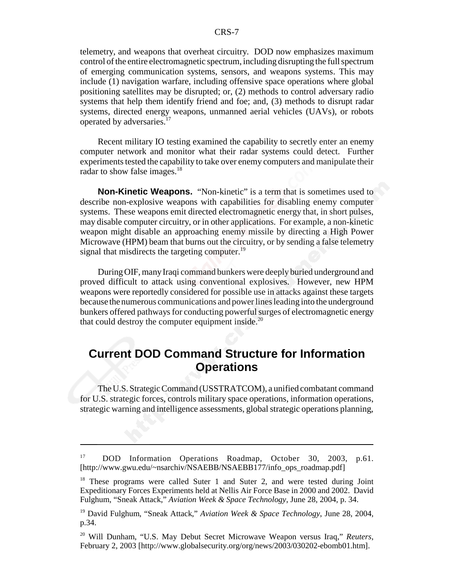telemetry, and weapons that overheat circuitry. DOD now emphasizes maximum control of the entire electromagnetic spectrum, including disrupting the full spectrum of emerging communication systems, sensors, and weapons systems. This may include (1) navigation warfare, including offensive space operations where global positioning satellites may be disrupted; or, (2) methods to control adversary radio systems that help them identify friend and foe; and, (3) methods to disrupt radar systems, directed energy weapons, unmanned aerial vehicles (UAVs), or robots operated by adversaries.17

Recent military IO testing examined the capability to secretly enter an enemy computer network and monitor what their radar systems could detect. Further experiments tested the capability to take over enemy computers and manipulate their radar to show false images.<sup>18</sup>

**Non-Kinetic Weapons.** "Non-kinetic" is a term that is sometimes used to describe non-explosive weapons with capabilities for disabling enemy computer systems. These weapons emit directed electromagnetic energy that, in short pulses, may disable computer circuitry, or in other applications. For example, a non-kinetic weapon might disable an approaching enemy missile by directing a High Power Microwave (HPM) beam that burns out the circuitry, or by sending a false telemetry signal that misdirects the targeting computer. $^{19}$ 

During OIF, many Iraqi command bunkers were deeply buried underground and proved difficult to attack using conventional explosives. However, new HPM weapons were reportedly considered for possible use in attacks against these targets because the numerous communications and power lines leading into the underground bunkers offered pathways for conducting powerful surges of electromagnetic energy that could destroy the computer equipment inside. $20$ 

### **Current DOD Command Structure for Information Operations**

The U.S. Strategic Command (USSTRATCOM), a unified combatant command for U.S. strategic forces, controls military space operations, information operations, strategic warning and intelligence assessments, global strategic operations planning,

<sup>17</sup> DOD Information Operations Roadmap, October 30, 2003, p.61. [http://www.gwu.edu/~nsarchiv/NSAEBB/NSAEBB177/info\_ops\_roadmap.pdf]

<sup>&</sup>lt;sup>18</sup> These programs were called Suter 1 and Suter 2, and were tested during Joint Expeditionary Forces Experiments held at Nellis Air Force Base in 2000 and 2002. David Fulghum, "Sneak Attack," *Aviation Week & Space Technology*, June 28, 2004, p. 34.

<sup>19</sup> David Fulghum, "Sneak Attack," *Aviation Week & Space Technology*, June 28, 2004, p.34.

<sup>20</sup> Will Dunham, "U.S. May Debut Secret Microwave Weapon versus Iraq," *Reuters*, February 2, 2003 [http://www.globalsecurity.org/org/news/2003/030202-ebomb01.htm].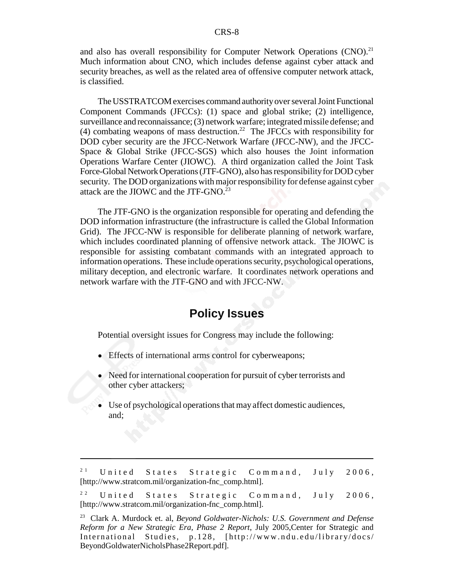and also has overall responsibility for Computer Network Operations  $(CNO)^{21}$ Much information about CNO, which includes defense against cyber attack and security breaches, as well as the related area of offensive computer network attack, is classified.

The USSTRATCOM exercises command authority over several Joint Functional Component Commands (JFCCs): (1) space and global strike; (2) intelligence, surveillance and reconnaissance; (3) network warfare; integrated missile defense; and (4) combating weapons of mass destruction.<sup>22</sup> The JFCCs with responsibility for DOD cyber security are the JFCC-Network Warfare (JFCC-NW), and the JFCC-Space & Global Strike (JFCC-SGS) which also houses the Joint information Operations Warfare Center (JIOWC). A third organization called the Joint Task Force-Global Network Operations (JTF-GNO), also has responsibility for DOD cyber security. The DOD organizations with major responsibility for defense against cyber attack are the JIOWC and the JTF-GNO.<sup>23</sup>

The JTF-GNO is the organization responsible for operating and defending the DOD information infrastructure (the infrastructure is called the Global Information Grid). The JFCC-NW is responsible for deliberate planning of network warfare, which includes coordinated planning of offensive network attack. The JIOWC is responsible for assisting combatant commands with an integrated approach to information operations. These include operations security, psychological operations, military deception, and electronic warfare. It coordinates network operations and network warfare with the JTF-GNO and with JFCC-NW.

#### **Policy Issues**

Potential oversight issues for Congress may include the following:

- ! Effects of international arms control for cyberweapons;
- ! Need for international cooperation for pursuit of cyber terrorists and other cyber attackers;
- Use of psychological operations that may affect domestic audiences, and;

<sup>&</sup>lt;sup>21</sup> United States Strategic Command, July 2006, [http://www.stratcom.mil/organization-fnc\_comp.html].

<sup>&</sup>lt;sup>22</sup> United States Strategic Command, July 2006, [http://www.stratcom.mil/organization-fnc\_comp.html].

<sup>23</sup> Clark A. Murdock et. al, *Beyond Goldwater-Nichols: U.S. Government and Defense Reform for a New Strategic Era, Phase 2 Report*, July 2005,Center for Strategic and International Studies, p.128, [http ://www.ndu.edu/library/docs/ BeyondGoldwaterNicholsPhase2Report.pdf].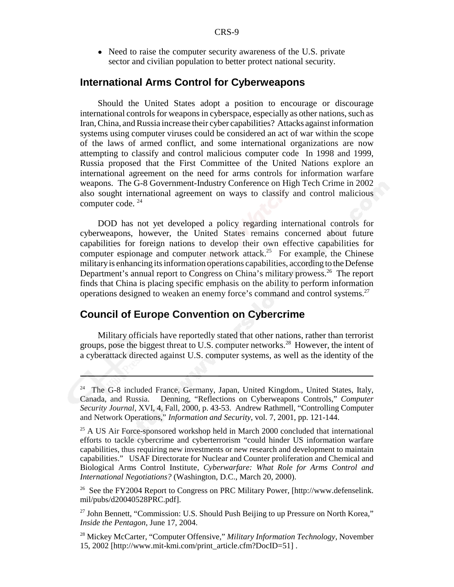• Need to raise the computer security awareness of the U.S. private sector and civilian population to better protect national security.

#### **International Arms Control for Cyberweapons**

Should the United States adopt a position to encourage or discourage international controls for weapons in cyberspace, especially as other nations, such as Iran, China, and Russia increase their cyber capabilities? Attacks against information systems using computer viruses could be considered an act of war within the scope of the laws of armed conflict, and some international organizations are now attempting to classify and control malicious computer code In 1998 and 1999, Russia proposed that the First Committee of the United Nations explore an international agreement on the need for arms controls for information warfare weapons. The G-8 Government-Industry Conference on High Tech Crime in 2002 also sought international agreement on ways to classify and control malicious computer code. 24

DOD has not yet developed a policy regarding international controls for cyberweapons, however, the United States remains concerned about future capabilities for foreign nations to develop their own effective capabilities for computer espionage and computer network attack.<sup>25</sup> For example, the Chinese military is enhancing its information operations capabilities, according to the Defense Department's annual report to Congress on China's military prowess.<sup>26</sup> The report finds that China is placing specific emphasis on the ability to perform information operations designed to weaken an enemy force's command and control systems.27

#### **Council of Europe Convention on Cybercrime**

Military officials have reportedly stated that other nations, rather than terrorist groups, pose the biggest threat to U.S. computer networks.<sup>28</sup> However, the intent of a cyberattack directed against U.S. computer systems, as well as the identity of the

<sup>&</sup>lt;sup>24</sup> The G-8 included France, Germany, Japan, United Kingdom., United States, Italy, Canada, and Russia. Denning, "Reflections on Cyberweapons Controls," *Computer Security Journal*, XVI, 4, Fall, 2000, p. 43-53. Andrew Rathmell, "Controlling Computer and Network Operations," *Information and Security*, vol. 7, 2001, pp. 121-144.

<sup>&</sup>lt;sup>25</sup> A US Air Force-sponsored workshop held in March 2000 concluded that international efforts to tackle cybercrime and cyberterrorism "could hinder US information warfare capabilities, thus requiring new investments or new research and development to maintain capabilities." USAF Directorate for Nuclear and Counter proliferation and Chemical and Biological Arms Control Institute, *Cyberwarfare: What Role for Arms Control and International Negotiations?* (Washington, D.C., March 20, 2000).

<sup>&</sup>lt;sup>26</sup> See the FY2004 Report to Congress on PRC Military Power, [http://www.defenselink. mil/pubs/d20040528PRC.pdf].

<sup>&</sup>lt;sup>27</sup> John Bennett, "Commission: U.S. Should Push Beijing to up Pressure on North Korea," *Inside the Pentagon*, June 17, 2004.

<sup>28</sup> Mickey McCarter, "Computer Offensive," *Military Information Technology*, November 15, 2002 [http://www.mit-kmi.com/print\_article.cfm?DocID=51] .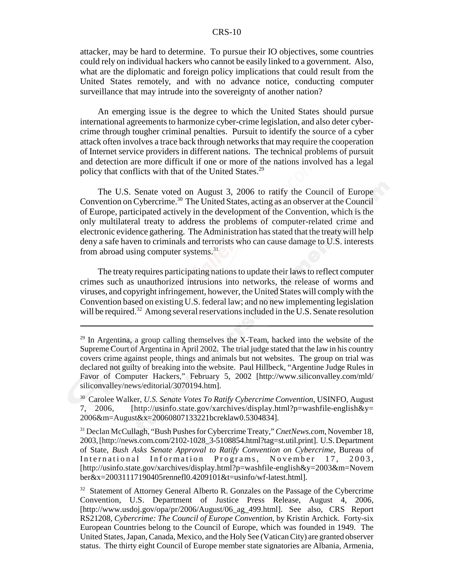#### CRS-10

attacker, may be hard to determine. To pursue their IO objectives, some countries could rely on individual hackers who cannot be easily linked to a government. Also, what are the diplomatic and foreign policy implications that could result from the United States remotely, and with no advance notice, conducting computer surveillance that may intrude into the sovereignty of another nation?

An emerging issue is the degree to which the United States should pursue international agreements to harmonize cyber-crime legislation, and also deter cybercrime through tougher criminal penalties. Pursuit to identify the source of a cyber attack often involves a trace back through networks that may require the cooperation of Internet service providers in different nations. The technical problems of pursuit and detection are more difficult if one or more of the nations involved has a legal policy that conflicts with that of the United States.<sup>29</sup>

The U.S. Senate voted on August 3, 2006 to ratify the Council of Europe Convention on Cybercrime.<sup>30</sup> The United States, acting as an observer at the Council of Europe, participated actively in the development of the Convention, which is the only multilateral treaty to address the problems of computer-related crime and electronic evidence gathering. The Administration has stated that the treaty will help deny a safe haven to criminals and terrorists who can cause damage to U.S. interests from abroad using computer systems.<sup>31</sup>

The treaty requires participating nations to update their laws to reflect computer crimes such as unauthorized intrusions into networks, the release of worms and viruses, and copyright infringement, however, the United States will comply with the Convention based on existing U.S. federal law; and no new implementing legislation will be required.<sup>32</sup> Among several reservations included in the U.S. Senate resolution

 $29$  In Argentina, a group calling themselves the X-Team, hacked into the website of the Supreme Court of Argentina in April 2002. The trial judge stated that the law in his country covers crime against people, things and animals but not websites. The group on trial was declared not guilty of breaking into the website. Paul Hillbeck, "Argentine Judge Rules in Favor of Computer Hackers," February 5, 2002 [http://www.siliconvalley.com/mld/ siliconvalley/news/editorial/3070194.htm].

<sup>30</sup> Carolee Walker, *U.S. Senate Votes To Ratify Cybercrime Convention*, USINFO, August 7, 2006, [http://usinfo.state.gov/xarchives/display.html?p=washfile-english&y= 2006&m=August&x=20060807133221bcreklaw0.5304834].

<sup>31</sup> Declan McCullagh, "Bush Pushes for Cybercrime Treaty," *CnetNews.com*, November 18, 2003, [http://news.com.com/2102-1028\_3-5108854.html?tag=st.util.print]. U.S. Department of State, *Bush Asks Senate Approval to Ratify Convention on Cybercrime,* Bureau of International Information Programs, November 17, 2003, [http://usinfo.state.gov/xarchives/display.html?p=washfile-english&y=2003&m=Novem ber&x=20031117190405rennefl0.4209101&t=usinfo/wf-latest.html].

<sup>&</sup>lt;sup>32</sup> Statement of Attorney General Alberto R. Gonzales on the Passage of the Cybercrime Convention, U.S. Department of Justice Press Release, August 4, 2006, [http://www.usdoj.gov/opa/pr/2006/August/06\_ag\_499.html]. See also, CRS Report RS21208, *Cybercrime: The Council of Europe Convention*, by Kristin Archick. Forty-six European Countries belong to the Council of Europe, which was founded in 1949. The United States, Japan, Canada, Mexico, and the Holy See (Vatican City) are granted observer status. The thirty eight Council of Europe member state signatories are Albania, Armenia,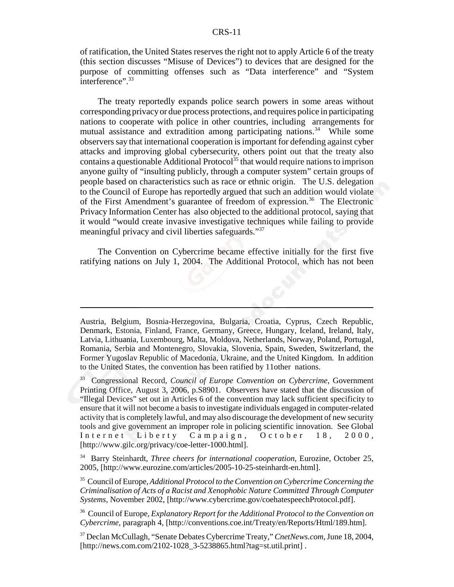#### CRS-11

of ratification, the United States reserves the right not to apply Article 6 of the treaty (this section discusses "Misuse of Devices") to devices that are designed for the purpose of committing offenses such as "Data interference" and "System interference".<sup>33</sup>

The treaty reportedly expands police search powers in some areas without corresponding privacy or due process protections, and requires police in participating nations to cooperate with police in other countries, including arrangements for mutual assistance and extradition among participating nations.<sup>34</sup> While some observers say that international cooperation is important for defending against cyber attacks and improving global cybersecurity, others point out that the treaty also contains a questionable Additional Protocol<sup>35</sup> that would require nations to imprison anyone guilty of "insulting publicly, through a computer system" certain groups of people based on characteristics such as race or ethnic origin. The U.S. delegation to the Council of Europe has reportedly argued that such an addition would violate of the First Amendment's guarantee of freedom of expression.<sup>36</sup> The Electronic Privacy Information Center has also objected to the additional protocol, saying that it would "would create invasive investigative techniques while failing to provide meaningful privacy and civil liberties safeguards."<sup>37</sup>

The Convention on Cybercrime became effective initially for the first five ratifying nations on July 1, 2004. The Additional Protocol, which has not been

Austria, Belgium, Bosnia-Herzegovina, Bulgaria, Croatia, Cyprus, Czech Republic, Denmark, Estonia, Finland, France, Germany, Greece, Hungary, Iceland, Ireland, Italy, Latvia, Lithuania, Luxembourg, Malta, Moldova, Netherlands, Norway, Poland, Portugal, Romania, Serbia and Montenegro, Slovakia, Slovenia, Spain, Sweden, Switzerland, the Former Yugoslav Republic of Macedonia, Ukraine, and the United Kingdom. In addition to the United States, the convention has been ratified by 11other nations.

34 Barry Steinhardt, *Three cheers for international cooperation*, Eurozine, October 25, 2005, [http://www.eurozine.com/articles/2005-10-25-steinhardt-en.html].

35 Council of Europe, *Additional Protocol to the Convention on Cybercrime Concerning the Criminalisation of Acts of a Racist and Xenophobic Nature Committed Through Computer Systems,* November 2002, [http://www.cybercrime.gov/coehatespeechProtocol.pdf].

36 Council of Europe, *Explanatory Report for the Additional Protocol to the Convention on Cybercrime*, paragraph 4, [http://conventions.coe.int/Treaty/en/Reports/Html/189.htm].

37 Declan McCullagh, "Senate Debates Cybercrime Treaty," *CnetNews.com,* June 18, 2004, [http://news.com.com/2102-1028\_3-5238865.html?tag=st.util.print].

<sup>33</sup> Congressional Record, *Council of Europe Convention on Cybercrime*, Government Printing Office, August 3, 2006, p.S8901. Observers have stated that the discussion of "Illegal Devices" set out in Articles 6 of the convention may lack sufficient specificity to ensure that it will not become a basis to investigate individuals engaged in computer-related activity that is completely lawful, and may also discourage the development of new security tools and give government an improper role in policing scientific innovation. See Global Internet Liberty Campaign, October 18, 2000, [http://www.gilc.org/privacy/coe-letter-1000.html].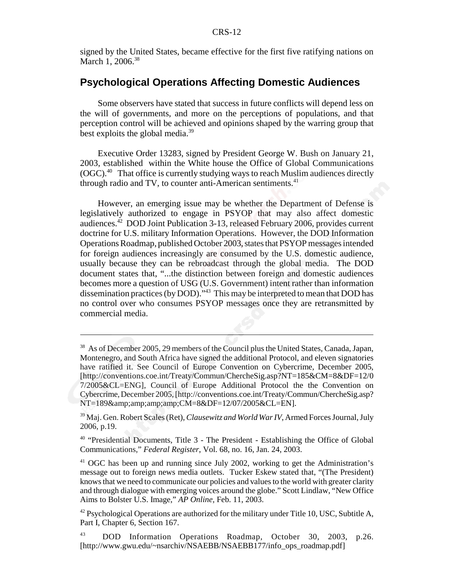signed by the United States, became effective for the first five ratifying nations on March 1, 2006.<sup>38</sup>

#### **Psychological Operations Affecting Domestic Audiences**

Some observers have stated that success in future conflicts will depend less on the will of governments, and more on the perceptions of populations, and that perception control will be achieved and opinions shaped by the warring group that best exploits the global media.39

Executive Order 13283, signed by President George W. Bush on January 21, 2003, established within the White house the Office of Global Communications (OGC).40 That office is currently studying ways to reach Muslim audiences directly through radio and TV, to counter anti-American sentiments.<sup>41</sup>

However, an emerging issue may be whether the Department of Defense is legislatively authorized to engage in PSYOP that may also affect domestic audiences.<sup>42</sup> DOD Joint Publication 3-13, released February 2006, provides current doctrine for U.S. military Information Operations. However, the DOD Information Operations Roadmap, published October 2003, states that PSYOP messages intended for foreign audiences increasingly are consumed by the U.S. domestic audience, usually because they can be rebroadcast through the global media. The DOD document states that, "...the distinction between foreign and domestic audiences becomes more a question of USG (U.S. Government) intent rather than information dissemination practices (by DOD)."43 This may be interpreted to mean that DOD has no control over who consumes PSYOP messages once they are retransmitted by commercial media.

<sup>&</sup>lt;sup>38</sup> As of December 2005, 29 members of the Council plus the United States, Canada, Japan, Montenegro, and South Africa have signed the additional Protocol, and eleven signatories have ratified it. See Council of Europe Convention on Cybercrime, December 2005, [http://conventions.coe.int/Treaty/Commun/ChercheSig.asp?NT=185&CM=8&DF=12/0 7/2005&CL=ENG], Council of Europe Additional Protocol the the Convention on Cybercrime, December 2005, [http://conventions.coe.int/Treaty/Commun/ChercheSig.asp? NT=189&CM=8&DF=12/07/2005&CL=EN].

<sup>39</sup> Maj. Gen. Robert Scales (Ret), *Clausewitz and World War IV*, Armed Forces Journal, July 2006, p.19.

<sup>40 &</sup>quot;Presidential Documents, Title 3 - The President - Establishing the Office of Global Communications," *Federal Register*, Vol. 68, no. 16, Jan. 24, 2003.

<sup>41</sup> OGC has been up and running since July 2002, working to get the Administration's message out to foreign news media outlets. Tucker Eskew stated that, "(The President) knows that we need to communicate our policies and values to the world with greater clarity and through dialogue with emerging voices around the globe." Scott Lindlaw, "New Office Aims to Bolster U.S. Image," *AP Online,* Feb. 11, 2003.

 $42$  Psychological Operations are authorized for the military under Title 10, USC, Subtitle A, Part I, Chapter 6, Section 167.

<sup>43</sup> DOD Information Operations Roadmap, October 30, 2003, p.26. [http://www.gwu.edu/~nsarchiv/NSAEBB/NSAEBB177/info\_ops\_roadmap.pdf]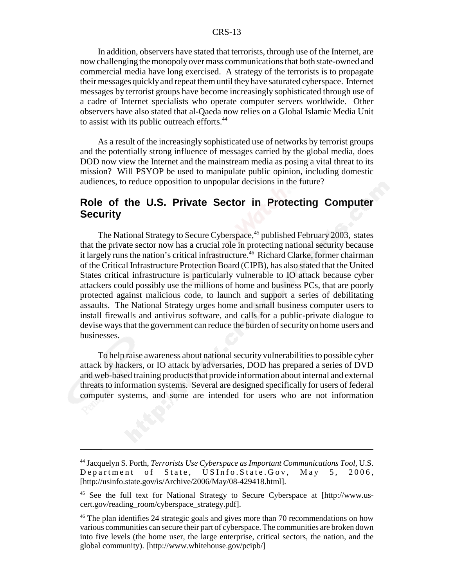#### CRS-13

In addition, observers have stated that terrorists, through use of the Internet, are now challenging the monopoly over mass communications that both state-owned and commercial media have long exercised. A strategy of the terrorists is to propagate their messages quickly and repeat them until they have saturated cyberspace. Internet messages by terrorist groups have become increasingly sophisticated through use of a cadre of Internet specialists who operate computer servers worldwide. Other observers have also stated that al-Qaeda now relies on a Global Islamic Media Unit to assist with its public outreach efforts.<sup>44</sup>

As a result of the increasingly sophisticated use of networks by terrorist groups and the potentially strong influence of messages carried by the global media, does DOD now view the Internet and the mainstream media as posing a vital threat to its mission? Will PSYOP be used to manipulate public opinion, including domestic audiences, to reduce opposition to unpopular decisions in the future?

#### **Role of the U.S. Private Sector in Protecting Computer Security**

The National Strategy to Secure Cyberspace,<sup>45</sup> published February 2003, states that the private sector now has a crucial role in protecting national security because it largely runs the nation's critical infrastructure.<sup>46</sup> Richard Clarke, former chairman of the Critical Infrastructure Protection Board (CIPB), has also stated that the United States critical infrastructure is particularly vulnerable to IO attack because cyber attackers could possibly use the millions of home and business PCs, that are poorly protected against malicious code, to launch and support a series of debilitating assaults. The National Strategy urges home and small business computer users to install firewalls and antivirus software, and calls for a public-private dialogue to devise ways that the government can reduce the burden of security on home users and businesses.

To help raise awareness about national security vulnerabilities to possible cyber attack by hackers, or IO attack by adversaries, DOD has prepared a series of DVD and web-based training products that provide information about internal and external threats to information systems. Several are designed specifically for users of federal computer systems, and some are intended for users who are not information

<sup>44</sup> Jacquelyn S. Porth, *Terrorists Use Cyberspace as Important Communications Tool*, U.S. Department of State, US Info.State.Gov, May 5, 2006, [http://usinfo.state.gov/is/Archive/2006/May/08-429418.html].

<sup>45</sup> See the full text for National Strategy to Secure Cyberspace at [http://www.uscert.gov/reading\_room/cyberspace\_strategy.pdf].

<sup>&</sup>lt;sup>46</sup> The plan identifies 24 strategic goals and gives more than 70 recommendations on how various communities can secure their part of cyberspace. The communities are broken down into five levels (the home user, the large enterprise, critical sectors, the nation, and the global community). [http://www.whitehouse.gov/pcipb/]